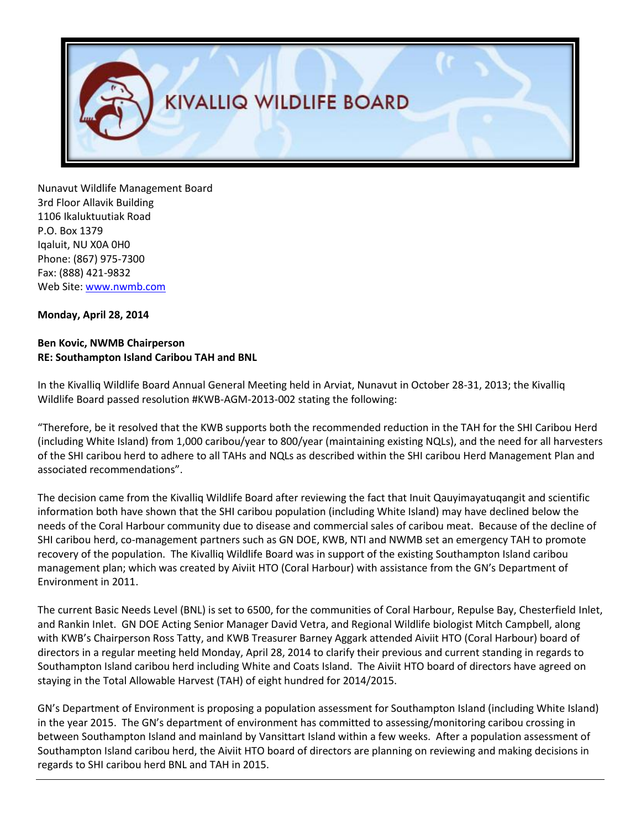

Nunavut Wildlife Management Board 3rd Floor Allavik Building 1106 Ikaluktuutiak Road P.O. Box 1379 Iqaluit, NU X0A 0H0 Phone: (867) 975-7300 Fax: (888) 421-9832 Web Site[: www.nwmb.com](http://www.nwmb.com/)

## **Monday, April 28, 2014**

## **Ben Kovic, NWMB Chairperson RE: Southampton Island Caribou TAH and BNL**

In the Kivalliq Wildlife Board Annual General Meeting held in Arviat, Nunavut in October 28-31, 2013; the Kivalliq Wildlife Board passed resolution #KWB-AGM-2013-002 stating the following:

"Therefore, be it resolved that the KWB supports both the recommended reduction in the TAH for the SHI Caribou Herd (including White Island) from 1,000 caribou/year to 800/year (maintaining existing NQLs), and the need for all harvesters of the SHI caribou herd to adhere to all TAHs and NQLs as described within the SHI caribou Herd Management Plan and associated recommendations".

The decision came from the Kivalliq Wildlife Board after reviewing the fact that Inuit Qauyimayatuqangit and scientific information both have shown that the SHI caribou population (including White Island) may have declined below the needs of the Coral Harbour community due to disease and commercial sales of caribou meat. Because of the decline of SHI caribou herd, co-management partners such as GN DOE, KWB, NTI and NWMB set an emergency TAH to promote recovery of the population. The Kivalliq Wildlife Board was in support of the existing Southampton Island caribou management plan; which was created by Aiviit HTO (Coral Harbour) with assistance from the GN's Department of Environment in 2011.

The current Basic Needs Level (BNL) is set to 6500, for the communities of Coral Harbour, Repulse Bay, Chesterfield Inlet, and Rankin Inlet. GN DOE Acting Senior Manager David Vetra, and Regional Wildlife biologist Mitch Campbell, along with KWB's Chairperson Ross Tatty, and KWB Treasurer Barney Aggark attended Aiviit HTO (Coral Harbour) board of directors in a regular meeting held Monday, April 28, 2014 to clarify their previous and current standing in regards to Southampton Island caribou herd including White and Coats Island. The Aiviit HTO board of directors have agreed on staying in the Total Allowable Harvest (TAH) of eight hundred for 2014/2015.

GN's Department of Environment is proposing a population assessment for Southampton Island (including White Island) in the year 2015. The GN's department of environment has committed to assessing/monitoring caribou crossing in between Southampton Island and mainland by Vansittart Island within a few weeks. After a population assessment of Southampton Island caribou herd, the Aiviit HTO board of directors are planning on reviewing and making decisions in regards to SHI caribou herd BNL and TAH in 2015.